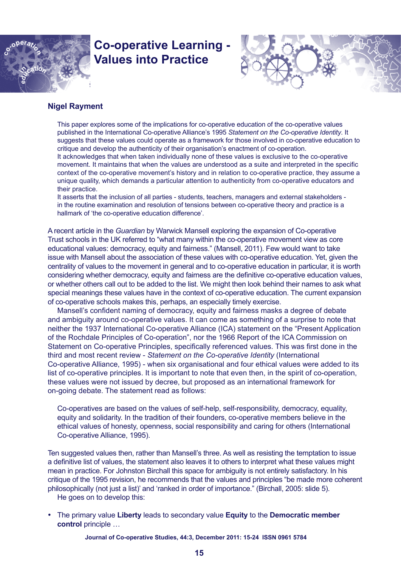

# **Co-operative Learning - Values into Practice**



## **Nigel Rayment**

This paper explores some of the implications for co-operative education of the co-operative values published in the International Co-operative Alliance's 1995 *Statement on the Co-operative Identity*. It suggests that these values could operate as a framework for those involved in co-operative education to critique and develop the authenticity of their organisation's enactment of co-operation. It acknowledges that when taken individually none of these values is exclusive to the co-operative movement. It maintains that when the values are understood as a suite and interpreted in the specific context of the co-operative movement's history and in relation to co-operative practice, they assume a unique quality, which demands a particular attention to authenticity from co-operative educators and their practice.

It asserts that the inclusion of all parties - students, teachers, managers and external stakeholders in the routine examination and resolution of tensions between co-operative theory and practice is a hallmark of 'the co-operative education difference'.

A recent article in the *Guardian* by Warwick Mansell exploring the expansion of Co-operative Trust schools in the UK referred to "what many within the co-operative movement view as core educational values: democracy, equity and fairness." (Mansell, 2011). Few would want to take issue with Mansell about the association of these values with co-operative education. Yet, given the centrality of values to the movement in general and to co-operative education in particular, it is worth considering whether democracy, equity and fairness are the definitive co-operative education values, or whether others call out to be added to the list. We might then look behind their names to ask what special meanings these values have in the context of co-operative education. The current expansion of co-operative schools makes this, perhaps, an especially timely exercise.

Mansell's confident naming of democracy, equity and fairness masks a degree of debate and ambiguity around co-operative values. It can come as something of a surprise to note that neither the 1937 International Co-operative Alliance (ICA) statement on the "Present Application of the Rochdale Principles of Co-operation", nor the 1966 Report of the ICA Commission on Statement on Co-operative Principles, specifically referenced values. This was first done in the third and most recent review - *Statement on the Co-operative Identity* (International Co-operative Alliance, 1995) - when six organisational and four ethical values were added to its list of co-operative principles. It is important to note that even then, in the spirit of co-operation, these values were not issued by decree, but proposed as an international framework for on-going debate. The statement read as follows:

Co-operatives are based on the values of self-help, self-responsibility, democracy, equality, equity and solidarity. In the tradition of their founders, co-operative members believe in the ethical values of honesty, openness, social responsibility and caring for others (International Co-operative Alliance, 1995).

Ten suggested values then, rather than Mansell's three. As well as resisting the temptation to issue a definitive list of values, the statement also leaves it to others to interpret what these values might mean in practice. For Johnston Birchall this space for ambiguity is not entirely satisfactory. In his critique of the 1995 revision, he recommends that the values and principles "be made more coherent philosophically (not just a list)' and 'ranked in order of importance." (Birchall, 2005: slide 5). He goes on to develop this:

• The primary value **Liberty** leads to secondary value **Equity** to the **Democratic member control** principle …

**Journal of Co-operative Studies, 44:3, December 2011: 15-24 ISSN 0961 5784**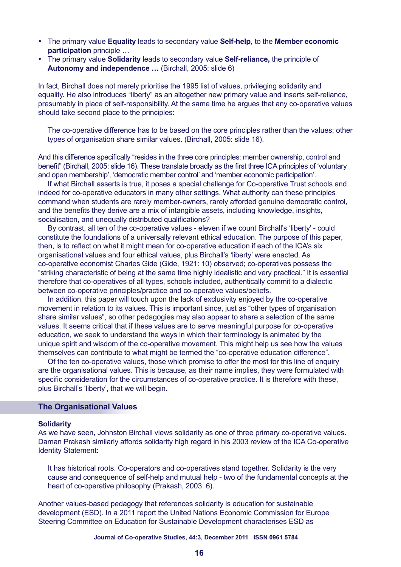- • The primary value **Equality** leads to secondary value **Self-help**, to the **Member economic participation** principle …
- • The primary value **Solidarity** leads to secondary value **Self-reliance,** the principle of **Autonomy and independence …** (Birchall, 2005: slide 6)

In fact, Birchall does not merely prioritise the 1995 list of values, privileging solidarity and equality. He also introduces "liberty" as an altogether new primary value and inserts self-reliance, presumably in place of self-responsibility. At the same time he argues that any co-operative values should take second place to the principles:

The co-operative difference has to be based on the core principles rather than the values; other types of organisation share similar values. (Birchall, 2005: slide 16).

And this difference specifically "resides in the three core principles: member ownership, control and benefit" (Birchall, 2005: slide 16). These translate broadly as the first three ICA principles of 'voluntary and open membership', 'democratic member control' and 'member economic participation'.

If what Birchall asserts is true, it poses a special challenge for Co-operative Trust schools and indeed for co-operative educators in many other settings. What authority can these principles command when students are rarely member-owners, rarely afforded genuine democratic control, and the benefits they derive are a mix of intangible assets, including knowledge, insights, socialisation, and unequally distributed qualifications?

By contrast, all ten of the co-operative values - eleven if we count Birchall's 'liberty' - could constitute the foundations of a universally relevant ethical education. The purpose of this paper, then, is to reflect on what it might mean for co-operative education if each of the ICA's six organisational values and four ethical values, plus Birchall's 'liberty' were enacted. As co-operative economist Charles Gide (Gide, 1921: 10) observed; co-operatives possess the "striking characteristic of being at the same time highly idealistic and very practical." It is essential therefore that co-operatives of all types, schools included, authentically commit to a dialectic between co-operative principles/practice and co-operative values/beliefs.

In addition, this paper will touch upon the lack of exclusivity enjoyed by the co-operative movement in relation to its values. This is important since, just as "other types of organisation share similar values", so other pedagogies may also appear to share a selection of the same values. It seems critical that if these values are to serve meaningful purpose for co-operative education, we seek to understand the ways in which their terminology is animated by the unique spirit and wisdom of the co-operative movement. This might help us see how the values themselves can contribute to what might be termed the "co-operative education difference".

Of the ten co-operative values, those which promise to offer the most for this line of enquiry are the organisational values. This is because, as their name implies, they were formulated with specific consideration for the circumstances of co-operative practice. It is therefore with these, plus Birchall's 'liberty', that we will begin.

#### **The Organisational Values**

#### **Solidarity**

As we have seen, Johnston Birchall views solidarity as one of three primary co-operative values. Daman Prakash similarly affords solidarity high regard in his 2003 review of the ICA Co-operative Identity Statement:

It has historical roots. Co-operators and co-operatives stand together. Solidarity is the very cause and consequence of self-help and mutual help - two of the fundamental concepts at the heart of co-operative philosophy (Prakash, 2003: 6).

Another values-based pedagogy that references solidarity is education for sustainable development (ESD). In a 2011 report the United Nations Economic Commission for Europe Steering Committee on Education for Sustainable Development characterises ESD as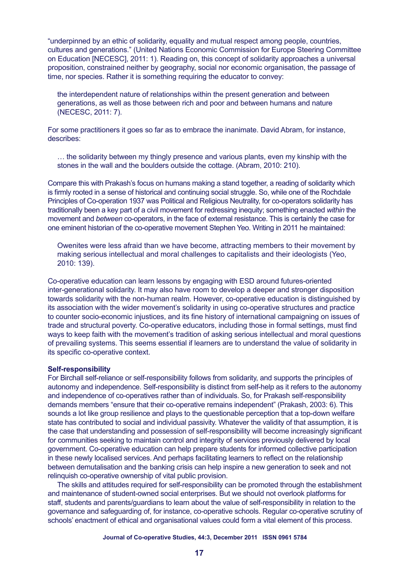"underpinned by an ethic of solidarity, equality and mutual respect among people, countries, cultures and generations." (United Nations Economic Commission for Europe Steering Committee on Education [NECESC], 2011: 1). Reading on, this concept of solidarity approaches a universal proposition, constrained neither by geography, social nor economic organisation, the passage of time, nor species. Rather it is something requiring the educator to convey:

the interdependent nature of relationships within the present generation and between generations, as well as those between rich and poor and between humans and nature (NECESC, 2011: 7).

For some practitioners it goes so far as to embrace the inanimate. David Abram, for instance, describes:

… the solidarity between my thingly presence and various plants, even my kinship with the stones in the wall and the boulders outside the cottage. (Abram, 2010: 210).

Compare this with Prakash's focus on humans making a stand together, a reading of solidarity which is firmly rooted in a sense of historical and continuing social struggle. So, while one of the Rochdale Principles of Co-operation 1937 was Political and Religious Neutrality, for co-operators solidarity has traditionally been a key part of a civil movement for redressing inequity; something enacted *within* the movement and *between* co-operators, in the face of external resistance. This is certainly the case for one eminent historian of the co-operative movement Stephen Yeo. Writing in 2011 he maintained:

Owenites were less afraid than we have become, attracting members to their movement by making serious intellectual and moral challenges to capitalists and their ideologists (Yeo, 2010: 139).

Co-operative education can learn lessons by engaging with ESD around futures-oriented inter-generational solidarity. It may also have room to develop a deeper and stronger disposition towards solidarity with the non-human realm. However, co-operative education is distinguished by its association with the wider movement's solidarity in using co-operative structures and practice to counter socio-economic injustices, and its fine history of international campaigning on issues of trade and structural poverty. Co-operative educators, including those in formal settings, must find ways to keep faith with the movement's tradition of asking serious intellectual and moral questions of prevailing systems. This seems essential if learners are to understand the value of solidarity in its specific co-operative context.

#### **Self-responsibility**

For Birchall self-reliance or self-responsibility follows from solidarity, and supports the principles of autonomy and independence. Self-responsibility is distinct from self-help as it refers to the autonomy and independence of co-operatives rather than of individuals. So, for Prakash self-responsibility demands members "ensure that their co-operative remains independent" (Prakash, 2003: 6). This sounds a lot like group resilience and plays to the questionable perception that a top-down welfare state has contributed to social and individual passivity. Whatever the validity of that assumption, it is the case that understanding and possession of self-responsibility will become increasingly significant for communities seeking to maintain control and integrity of services previously delivered by local government. Co-operative education can help prepare students for informed collective participation in these newly localised services. And perhaps facilitating learners to reflect on the relationship between demutalisation and the banking crisis can help inspire a new generation to seek and not relinquish co-operative ownership of vital public provision.

The skills and attitudes required for self-responsibility can be promoted through the establishment and maintenance of student-owned social enterprises. But we should not overlook platforms for staff, students and parents/guardians to learn about the value of self-responsibility in relation to the governance and safeguarding of, for instance, co-operative schools. Regular co-operative scrutiny of schools' enactment of ethical and organisational values could form a vital element of this process.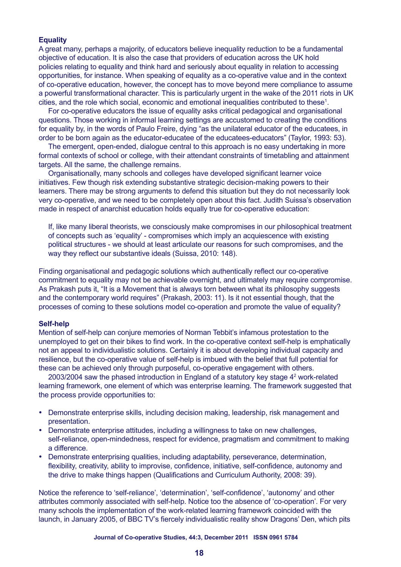## **Equality**

A great many, perhaps a majority, of educators believe inequality reduction to be a fundamental objective of education. It is also the case that providers of education across the UK hold policies relating to equality and think hard and seriously about equality in relation to accessing opportunities, for instance. When speaking of equality as a co-operative value and in the context of co-operative education, however, the concept has to move beyond mere compliance to assume a powerful transformational character. This is particularly urgent in the wake of the 2011 riots in UK cities, and the role which social, economic and emotional inequalities contributed to these<sup>1</sup>.

For co-operative educators the issue of equality asks critical pedagogical and organisational questions. Those working in informal learning settings are accustomed to creating the conditions for equality by, in the words of Paulo Freire, dying "as the unilateral educator of the educatees, in order to be born again as the educator-educatee of the educatees-educators" (Taylor, 1993: 53).

The emergent, open-ended, dialogue central to this approach is no easy undertaking in more formal contexts of school or college, with their attendant constraints of timetabling and attainment targets. All the same, the challenge remains.

Organisationally, many schools and colleges have developed significant learner voice initiatives. Few though risk extending substantive strategic decision-making powers to their learners. There may be strong arguments to defend this situation but they do not necessarily look very co-operative, and we need to be completely open about this fact. Judith Suissa's observation made in respect of anarchist education holds equally true for co-operative education:

If, like many liberal theorists, we consciously make compromises in our philosophical treatment of concepts such as 'equality' - compromises which imply an acquiescence with existing political structures - we should at least articulate our reasons for such compromises, and the way they reflect our substantive ideals (Suissa, 2010: 148).

Finding organisational and pedagogic solutions which authentically reflect our co-operative commitment to equality may not be achievable overnight, and ultimately may require compromise. As Prakash puts it, "It is a Movement that is always torn between what its philosophy suggests and the contemporary world requires" (Prakash, 2003: 11). Is it not essential though, that the processes of coming to these solutions model co-operation and promote the value of equality?

#### **Self-help**

Mention of self-help can conjure memories of Norman Tebbit's infamous protestation to the unemployed to get on their bikes to find work. In the co-operative context self-help is emphatically not an appeal to individualistic solutions. Certainly it is about developing individual capacity and resilience, but the co-operative value of self-help is imbued with the belief that full potential for these can be achieved only through purposeful, co-operative engagement with others.

2003/2004 saw the phased introduction in England of a statutory key stage 4<sup>2</sup> work-related learning framework, one element of which was enterprise learning. The framework suggested that the process provide opportunities to:

- Demonstrate enterprise skills, including decision making, leadership, risk management and presentation.
- Demonstrate enterprise attitudes, including a willingness to take on new challenges, self-reliance, open-mindedness, respect for evidence, pragmatism and commitment to making a difference.
- • Demonstrate enterprising qualities, including adaptability, perseverance, determination, flexibility, creativity, ability to improvise, confidence, initiative, self-confidence, autonomy and the drive to make things happen (Qualifications and Curriculum Authority, 2008: 39).

Notice the reference to 'self-reliance', 'determination', 'self-confidence', 'autonomy' and other attributes commonly associated with self-help. Notice too the absence of 'co-operation'. For very many schools the implementation of the work-related learning framework coincided with the launch, in January 2005, of BBC TV's fiercely individualistic reality show Dragons' Den, which pits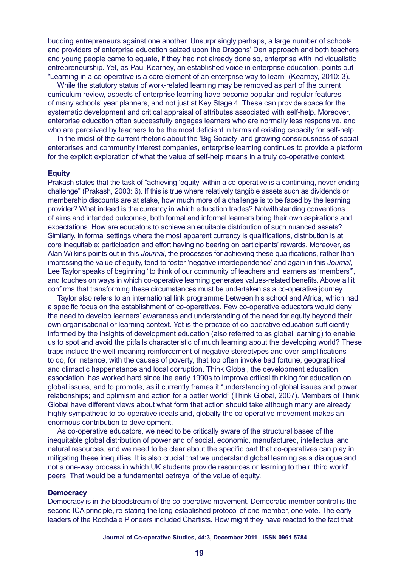budding entrepreneurs against one another. Unsurprisingly perhaps, a large number of schools and providers of enterprise education seized upon the Dragons' Den approach and both teachers and young people came to equate, if they had not already done so, enterprise with individualistic entrepreneurship. Yet, as Paul Kearney, an established voice in enterprise education, points out "Learning in a co-operative is a core element of an enterprise way to learn" (Kearney, 2010: 3).

While the statutory status of work-related learning may be removed as part of the current curriculum review, aspects of enterprise learning have become popular and regular features of many schools' year planners, and not just at Key Stage 4. These can provide space for the systematic development and critical appraisal of attributes associated with self-help. Moreover, enterprise education often successfully engages learners who are normally less responsive, and who are perceived by teachers to be the most deficient in terms of existing capacity for self-help.

In the midst of the current rhetoric about the 'Big Society' and growing consciousness of social enterprises and community interest companies, enterprise learning continues to provide a platform for the explicit exploration of what the value of self-help means in a truly co-operative context.

#### **Equity**

Prakash states that the task of "achieving 'equity' within a co-operative is a continuing, never-ending challenge" (Prakash, 2003: 6). If this is true where relatively tangible assets such as dividends or membership discounts are at stake, how much more of a challenge is to be faced by the learning provider? What indeed is the currency in which education trades? Notwithstanding conventions of aims and intended outcomes, both formal and informal learners bring their own aspirations and expectations. How are educators to achieve an equitable distribution of such nuanced assets? Similarly, in formal settings where the most apparent currency is qualifications, distribution is at core inequitable; participation and effort having no bearing on participants' rewards. Moreover, as Alan Wilkins points out in this *Journal*, the processes for achieving these qualifications, rather than impressing the value of equity, tend to foster 'negative interdependence' and again in this *Journal*, Lee Taylor speaks of beginning "to think of our community of teachers and learners as 'members'", and touches on ways in which co-operative learning generates values-related benefits. Above all it confirms that transforming these circumstances must be undertaken as a co-operative journey.

Taylor also refers to an international link programme between his school and Africa, which had a specific focus on the establishment of co-operatives. Few co-operative educators would deny the need to develop learners' awareness and understanding of the need for equity beyond their own organisational or learning context. Yet is the practice of co-operative education sufficiently informed by the insights of development education (also referred to as global learning) to enable us to spot and avoid the pitfalls characteristic of much learning about the developing world? These traps include the well-meaning reinforcement of negative stereotypes and over-simplifications to do, for instance, with the causes of poverty, that too often invoke bad fortune, geographical and climactic happenstance and local corruption. Think Global, the development education association, has worked hard since the early 1990s to improve critical thinking for education on global issues, and to promote, as it currently frames it "understanding of global issues and power relationships; and optimism and action for a better world" (Think Global, 2007). Members of Think Global have different views about what form that action should take although many are already highly sympathetic to co-operative ideals and, globally the co-operative movement makes an enormous contribution to development.

As co-operative educators, we need to be critically aware of the structural bases of the inequitable global distribution of power and of social, economic, manufactured, intellectual and natural resources, and we need to be clear about the specific part that co-operatives can play in mitigating these inequities. It is also crucial that we understand global learning as a dialogue and not a one-way process in which UK students provide resources or learning to their 'third world' peers. That would be a fundamental betrayal of the value of equity.

#### **Democracy**

Democracy is in the bloodstream of the co-operative movement. Democratic member control is the second ICA principle, re-stating the long-established protocol of one member, one vote. The early leaders of the Rochdale Pioneers included Chartists. How might they have reacted to the fact that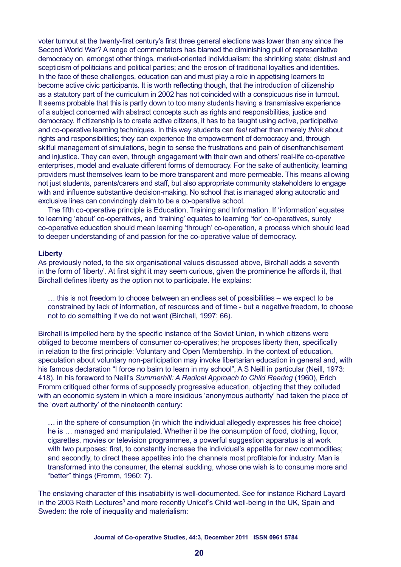voter turnout at the twenty-first century's first three general elections was lower than any since the Second World War? A range of commentators has blamed the diminishing pull of representative democracy on, amongst other things, market-oriented individualism; the shrinking state; distrust and scepticism of politicians and political parties; and the erosion of traditional loyalties and identities. In the face of these challenges, education can and must play a role in appetising learners to become active civic participants. It is worth reflecting though, that the introduction of citizenship as a statutory part of the curriculum in 2002 has not coincided with a conspicuous rise in turnout. It seems probable that this is partly down to too many students having a transmissive experience of a subject concerned with abstract concepts such as rights and responsibilities, justice and democracy. If citizenship is to create active citizens, it has to be taught using active, participative and co-operative learning techniques. In this way students can *feel* rather than merely *think* about rights and responsibilities; they can experience the empowerment of democracy and, through skilful management of simulations, begin to sense the frustrations and pain of disenfranchisement and injustice. They can even, through engagement with their own and others' real-life co-operative enterprises, model and evaluate different forms of democracy. For the sake of authenticity, learning providers must themselves learn to be more transparent and more permeable. This means allowing not just students, parents/carers and staff, but also appropriate community stakeholders to engage with and influence substantive decision-making. No school that is managed along autocratic and exclusive lines can convincingly claim to be a co-operative school.

The fifth co-operative principle is Education, Training and Information. If 'information' equates to learning 'about' co-operatives, and 'training' equates to learning 'for' co-operatives, surely co-operative education should mean learning 'through' co-operation, a process which should lead to deeper understanding of and passion for the co-operative value of democracy.

#### **Liberty**

As previously noted, to the six organisational values discussed above, Birchall adds a seventh in the form of 'liberty'. At first sight it may seem curious, given the prominence he affords it, that Birchall defines liberty as the option not to participate. He explains:

… this is not freedom to choose between an endless set of possibilities – we expect to be constrained by lack of information, of resources and of time - but a negative freedom, to choose not to do something if we do not want (Birchall, 1997: 66).

Birchall is impelled here by the specific instance of the Soviet Union, in which citizens were obliged to become members of consumer co-operatives; he proposes liberty then, specifically in relation to the first principle: Voluntary and Open Membership. In the context of education, speculation about voluntary non-participation may invoke libertarian education in general and, with his famous declaration "I force no bairn to learn in my school", A S Neill in particular (Neill, 1973: 418). In his foreword to Neill's *Summerhill: A Radical Approach to Child Rearing* (1960), Erich Fromm critiqued other forms of supposedly progressive education, objecting that they colluded with an economic system in which a more insidious 'anonymous authority' had taken the place of the 'overt authority' of the nineteenth century:

… in the sphere of consumption (in which the individual allegedly expresses his free choice) he is … managed and manipulated. Whether it be the consumption of food, clothing, liquor, cigarettes, movies or television programmes, a powerful suggestion apparatus is at work with two purposes: first, to constantly increase the individual's appetite for new commodities; and secondly, to direct these appetites into the channels most profitable for industry. Man is transformed into the consumer, the eternal suckling, whose one wish is to consume more and "better" things (Fromm, 1960: 7).

The enslaving character of this insatiability is well-documented. See for instance Richard Layard in the 2003 Reith Lectures<sup>3</sup> and more recently Unicef's Child well-being in the UK, Spain and Sweden: the role of inequality and materialism: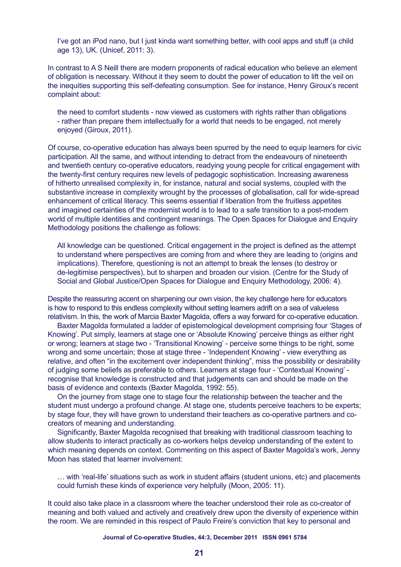I've got an iPod nano, but I just kinda want something better, with cool apps and stuff (a child age 13), UK. (Unicef, 2011: 3).

In contrast to A S Neill there are modern proponents of radical education who believe an element of obligation is necessary. Without it they seem to doubt the power of education to lift the veil on the inequities supporting this self-defeating consumption. See for instance, Henry Giroux's recent complaint about:

the need to comfort students - now viewed as customers with rights rather than obligations - rather than prepare them intellectually for a world that needs to be engaged, not merely enjoyed (Giroux, 2011).

Of course, co-operative education has always been spurred by the need to equip learners for civic participation. All the same, and without intending to detract from the endeavours of nineteenth and twentieth century co-operative educators, readying young people for critical engagement with the twenty-first century requires new levels of pedagogic sophistication. Increasing awareness of hitherto unrealised complexity in, for instance, natural and social systems, coupled with the substantive increase in complexity wrought by the processes of globalisation, call for wide-spread enhancement of critical literacy. This seems essential if liberation from the fruitless appetites and imagined certainties of the modernist world is to lead to a safe transition to a post-modern world of multiple identities and contingent meanings. The Open Spaces for Dialogue and Enquiry Methodology positions the challenge as follows:

All knowledge can be questioned. Critical engagement in the project is defined as the attempt to understand where perspectives are coming from and where they are leading to (origins and implications). Therefore, questioning is not an attempt to break the lenses (to destroy or de-legitimise perspectives), but to sharpen and broaden our vision. (Centre for the Study of Social and Global Justice/Open Spaces for Dialogue and Enquiry Methodology, 2006: 4).

Despite the reassuring accent on sharpening our own vision, the key challenge here for educators is how to respond to this endless complexity without setting learners adrift on a sea of valueless relativism. In this, the work of Marcia Baxter Magolda, offers a way forward for co-operative education.

Baxter Magolda formulated a ladder of epistemological development comprising four 'Stages of Knowing'. Put simply, learners at stage one or 'Absolute Knowing' perceive things as either right or wrong; learners at stage two - 'Transitional Knowing' - perceive some things to be right, some wrong and some uncertain; those at stage three - 'Independent Knowing' - view everything as relative, and often "in the excitement over independent thinking", miss the possibility or desirability of judging some beliefs as preferable to others. Learners at stage four - 'Contextual Knowing' recognise that knowledge is constructed and that judgements can and should be made on the basis of evidence and contexts (Baxter Magolda, 1992: 55).

On the journey from stage one to stage four the relationship between the teacher and the student must undergo a profound change. At stage one, students perceive teachers to be experts; by stage four, they will have grown to understand their teachers as co-operative partners and cocreators of meaning and understanding.

Significantly, Baxter Magolda recognised that breaking with traditional classroom teaching to allow students to interact practically as co-workers helps develop understanding of the extent to which meaning depends on context. Commenting on this aspect of Baxter Magolda's work, Jenny Moon has stated that learner involvement:

… with 'real-life' situations such as work in student affairs (student unions, etc) and placements could furnish these kinds of experience very helpfully (Moon, 2005: 11).

It could also take place in a classroom where the teacher understood their role as co-creator of meaning and both valued and actively and creatively drew upon the diversity of experience within the room. We are reminded in this respect of Paulo Freire's conviction that key to personal and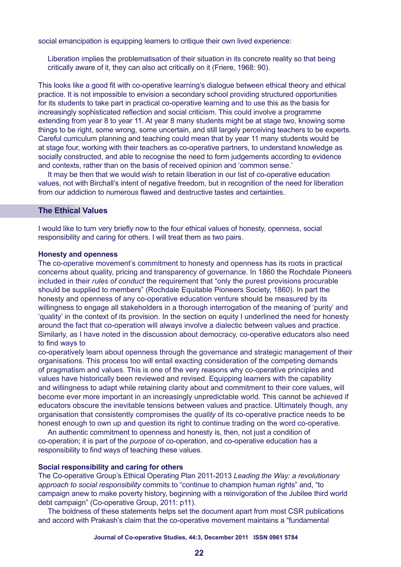social emancipation is equipping learners to critique their own lived experience:

Liberation implies the problematisation of their situation in its concrete reality so that being critically aware of it, they can also act critically on it (Friere, 1968: 90).

This looks like a good fit with co-operative learning's dialogue between ethical theory and ethical practice. It is not impossible to envision a secondary school providing structured opportunities for its students to take part in practical co-operative learning and to use this as the basis for increasingly sophisticated reflection and social criticism. This could involve a programme extending from year 8 to year 11. At year 8 many students might be at stage two, knowing some things to be right, some wrong, some uncertain, and still largely perceiving teachers to be experts. Careful curriculum planning and teaching could mean that by year 11 many students would be at stage four, working with their teachers as co-operative partners, to understand knowledge as socially constructed, and able to recognise the need to form judgements according to evidence and contexts, rather than on the basis of received opinion and 'common sense.'

It may be then that we would wish to retain liberation in our list of co-operative education values, not with Birchall's intent of negative freedom, but in recognition of the need for liberation from our addiction to numerous flawed and destructive tastes and certainties.

## **The Ethical Values**

I would like to turn very briefly now to the four ethical values of honesty, openness, social responsibility and caring for others. I will treat them as two pairs.

#### **Honesty and openness**

The co-operative movement's commitment to honesty and openness has its roots in practical concerns about quality, pricing and transparency of governance. In 1860 the Rochdale Pioneers included in their *rules of conduct* the requirement that "only the purest provisions procurable should be supplied to members" (Rochdale Equitable Pioneers Society, 1860). In part the honesty and openness of any co-operative education venture should be measured by its willingness to engage all stakeholders in a thorough interrogation of the meaning of 'purity' and 'quality' in the context of its provision. In the section on equity I underlined the need for honesty around the fact that co-operation will always involve a dialectic between values and practice. Similarly, as I have noted in the discussion about democracy, co-operative educators also need to find ways to

co-operatively learn about openness through the governance and strategic management of their organisations. This process too will entail exacting consideration of the competing demands of pragmatism and values. This is one of the very reasons why co-operative principles and values have historically been reviewed and revised. Equipping learners with the capability and willingness to adapt while retaining clarity about and commitment to their core values, will become ever more important in an increasingly unpredictable world. This cannot be achieved if educators obscure the inevitable tensions between values and practice. Ultimately though, any organisation that consistently compromises the *quality* of its co-operative practice needs to be honest enough to own up and question its right to continue trading on the word co-operative.

An authentic commitment to openness and honesty is, then, not just a condition of co-operation; it is part of the *purpose* of co-operation, and co-operative education has a responsibility to find ways of teaching these values.

#### **Social responsibility and caring for others**

The Co-operative Group's Ethical Operating Plan 2011-2013 *Leading the Way: a revolutionary approach to social responsibility* commits to "continue to champion human rights" and, "to campaign anew to make poverty history, beginning with a reinvigoration of the Jubilee third world debt campaign" (Co-operative Group, 2011: p11).

The boldness of these statements helps set the document apart from most CSR publications and accord with Prakash's claim that the co-operative movement maintains a "fundamental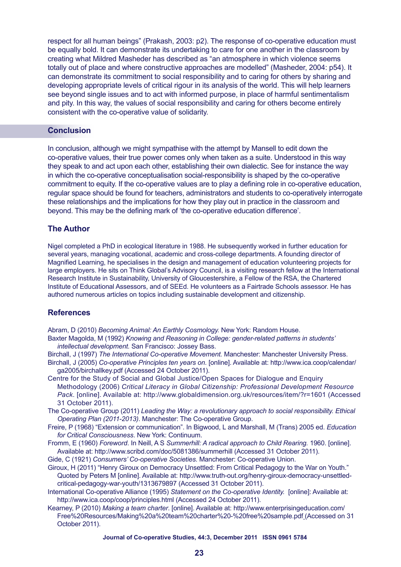respect for all human beings" (Prakash, 2003: p2). The response of co-operative education must be equally bold. It can demonstrate its undertaking to care for one another in the classroom by creating what Mildred Masheder has described as "an atmosphere in which violence seems totally out of place and where constructive approaches are modelled" (Masheder, 2004: p54). It can demonstrate its commitment to social responsibility and to caring for others by sharing and developing appropriate levels of critical rigour in its analysis of the world. This will help learners see beyond single issues and to act with informed purpose, in place of harmful sentimentalism and pity. In this way, the values of social responsibility and caring for others become entirely consistent with the co-operative value of solidarity.

## **Conclusion**

In conclusion, although we might sympathise with the attempt by Mansell to edit down the co-operative values, their true power comes only when taken as a suite. Understood in this way they speak to and act upon each other, establishing their own dialectic. See for instance the way in which the co-operative conceptualisation social-responsibility is shaped by the co-operative commitment to equity. If the co-operative values are to play a defining role in co-operative education, regular space should be found for teachers, administrators and students to co-operatively interrogate these relationships and the implications for how they play out in practice in the classroom and beyond. This may be the defining mark of 'the co-operative education difference'.

## **The Author**

Nigel completed a PhD in ecological literature in 1988. He subsequently worked in further education for several years, managing vocational, academic and cross-college departments. A founding director of Magnified Learning, he specialises in the design and management of education volunteering projects for large employers. He sits on Think Global's Advisory Council, is a visiting research fellow at the International Research Institute in Sustainability, University of Gloucestershire, a Fellow of the RSA, the Chartered Institute of Educational Assessors, and of SEEd. He volunteers as a Fairtrade Schools assessor. He has authored numerous articles on topics including sustainable development and citizenship.

## **References**

Abram, D (2010) *Becoming Animal: An Earthly Cosmology.* New York: Random House.

- Baxter Magolda, M (1992) *Knowing and Reasoning in College: gender-related patterns in students' intellectual development.* San Francisco: Jossey Bass.
- Birchall, J (1997) *The International Co-operative Movement.* Manchester: Manchester University Press.
- Birchall, J (2005) *Co-operative Principles ten years on*. [online]. Available at: http://www.ica.coop/calendar/ ga2005/birchallkey.pdf (Accessed 24 October 2011).
- Centre for the Study of Social and Global Justice/Open Spaces for Dialogue and Enquiry Methodology (2006) *Critical Literacy in Global Citizenship: Professional Development Resource Pack*. [online]. Available at: http://www.globaldimension.org.uk/resources/item/?r=1601 (Accessed 31 October 2011).
- The Co-operative Group (2011) *Leading the Way: a revolutionary approach to social responsibility. Ethical Operating Plan (2011-2013)*. Manchester: The Co-operative Group.
- Freire, P (1968) "Extension or communication". In Bigwood, L and Marshall, M (Trans) 2005 ed. *Education for Critical Consciousness*. New York: Continuum.
- Fromm, E (1960) *Foreword*. In Neill, A S *Summerhill: A radical approach to Child Rearing.* 1960. [online]. Available at: http://www.scribd.com/doc/5081386/summerhill (Accessed 31 October 2011).
- Gide, C (1921) *Consumers' Co-operative Societies*. Manchester: Co-operative Union.
- Giroux, H (2011) "Henry Giroux on Democracy Unsettled: From Critical Pedagogy to the War on Youth." Quoted by Peters M [online]. Available at: http://www.truth-out.org/henry-giroux-democracy-unsettledcritical-pedagogy-war-youth/1313679897 (Accessed 31 October 2011).
- International Co-operative Alliance (1995) *Statement on the Co-operative Identity.* [online]: Available at: http://www.ica.coop/coop/principles.html (Accessed 24 October 2011).
- Kearney, P (2010) *Making a team charter*. [online]. Available at: http://www.enterprisingeducation.com/ Free%20Resources/Making%20a%20team%20charter%20-%20free%20sample.pdf (Accessed on 31 October 2011).